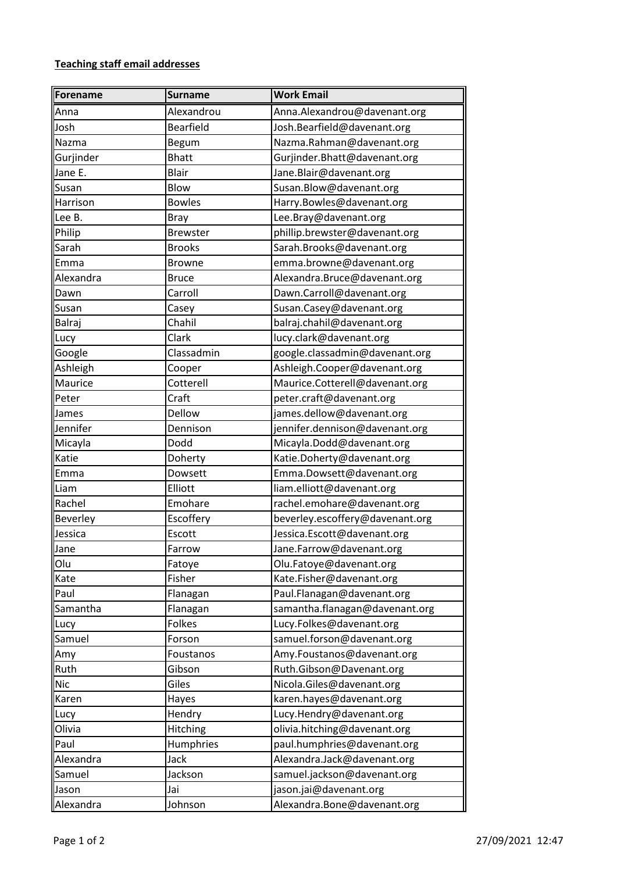## **Teaching staff email addresses**

| Forename        | <b>Surname</b>   | <b>Work Email</b>               |
|-----------------|------------------|---------------------------------|
| Anna            | Alexandrou       | Anna.Alexandrou@davenant.org    |
| Josh            | <b>Bearfield</b> | Josh.Bearfield@davenant.org     |
| Nazma           | <b>Begum</b>     | Nazma.Rahman@davenant.org       |
| Gurjinder       | <b>Bhatt</b>     | Gurjinder.Bhatt@davenant.org    |
| Jane E.         | <b>Blair</b>     | Jane.Blair@davenant.org         |
| Susan           | Blow             | Susan.Blow@davenant.org         |
| Harrison        | <b>Bowles</b>    | Harry.Bowles@davenant.org       |
| Lee B.          | <b>Bray</b>      | Lee.Bray@davenant.org           |
| Philip          | <b>Brewster</b>  | phillip.brewster@davenant.org   |
| Sarah           | <b>Brooks</b>    | Sarah.Brooks@davenant.org       |
| Emma            | <b>Browne</b>    | emma.browne@davenant.org        |
| Alexandra       | <b>Bruce</b>     | Alexandra.Bruce@davenant.org    |
| Dawn            | Carroll          | Dawn.Carroll@davenant.org       |
| Susan           | Casey            | Susan.Casey@davenant.org        |
| Balraj          | Chahil           | balraj.chahil@davenant.org      |
| Lucy            | Clark            | lucy.clark@davenant.org         |
| Google          | Classadmin       | google.classadmin@davenant.org  |
| Ashleigh        | Cooper           | Ashleigh.Cooper@davenant.org    |
| Maurice         | Cotterell        | Maurice.Cotterell@davenant.org  |
| Peter           | Craft            | peter.craft@davenant.org        |
| James           | Dellow           | james.dellow@davenant.org       |
| Jennifer        | Dennison         | jennifer.dennison@davenant.org  |
| Micayla         | Dodd             | Micayla.Dodd@davenant.org       |
| Katie           | Doherty          | Katie.Doherty@davenant.org      |
| Emma            | Dowsett          | Emma.Dowsett@davenant.org       |
| Liam            | Elliott          | liam.elliott@davenant.org       |
| Rachel          | Emohare          | rachel.emohare@davenant.org     |
| <b>Beverley</b> | Escoffery        | beverley.escoffery@davenant.org |
| Jessica         | Escott           | Jessica.Escott@davenant.org     |
| Jane            | Farrow           | Jane.Farrow@davenant.org        |
| Olu             | Fatoye           | Olu.Fatoye@davenant.org         |
| Kate            | Fisher           | Kate.Fisher@davenant.org        |
| Paul            | Flanagan         | Paul.Flanagan@davenant.org      |
| Samantha        | Flanagan         | samantha.flanagan@davenant.org  |
| Lucy            | Folkes           | Lucy.Folkes@davenant.org        |
| Samuel          | Forson           | samuel.forson@davenant.org      |
| Amy             | Foustanos        | Amy.Foustanos@davenant.org      |
| Ruth            | Gibson           | Ruth.Gibson@Davenant.org        |
| <b>Nic</b>      | Giles            | Nicola.Giles@davenant.org       |
| Karen           | Hayes            | karen.hayes@davenant.org        |
| Lucy            | Hendry           | Lucy.Hendry@davenant.org        |
| Olivia          | Hitching         | olivia.hitching@davenant.org    |
| Paul            | Humphries        | paul.humphries@davenant.org     |
| Alexandra       | Jack             | Alexandra.Jack@davenant.org     |
| Samuel          | Jackson          | samuel.jackson@davenant.org     |
| Jason           | Jai              | jason.jai@davenant.org          |
| Alexandra       | Johnson          | Alexandra.Bone@davenant.org     |